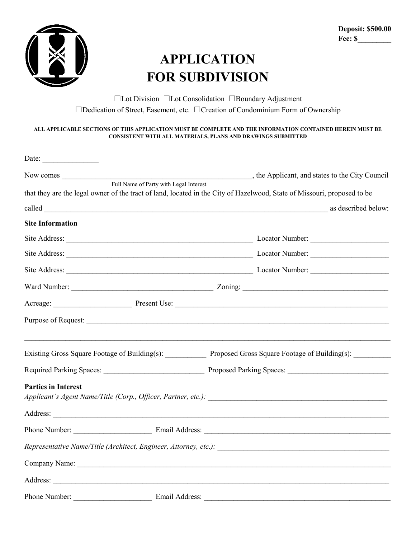

## **APPLICATION FOR SUBDIVISION**

☐Lot Division ☐Lot Consolidation ☐Boundary Adjustment ☐Dedication of Street, Easement, etc. ☐Creation of Condominium Form of Ownership

## **ALL APPLICABLE SECTIONS OF THIS APPLICATION MUST BE COMPLETE AND THE INFORMATION CONTAINED HEREIN MUST BE CONSISTENT WITH ALL MATERIALS, PLANS AND DRAWINGS SUBMITTED**

|                            | that they are the legal owner of the tract of land, located in the City of Hazelwood, State of Missouri, proposed to be |
|----------------------------|-------------------------------------------------------------------------------------------------------------------------|
|                            | as described below:                                                                                                     |
| <b>Site Information</b>    |                                                                                                                         |
|                            |                                                                                                                         |
|                            |                                                                                                                         |
|                            |                                                                                                                         |
|                            |                                                                                                                         |
|                            |                                                                                                                         |
|                            |                                                                                                                         |
|                            | Existing Gross Square Footage of Building(s): Proposed Gross Square Footage of Building(s): _______                     |
|                            |                                                                                                                         |
| <b>Parties in Interest</b> |                                                                                                                         |
|                            |                                                                                                                         |
|                            |                                                                                                                         |
|                            |                                                                                                                         |
|                            |                                                                                                                         |
|                            |                                                                                                                         |
|                            |                                                                                                                         |